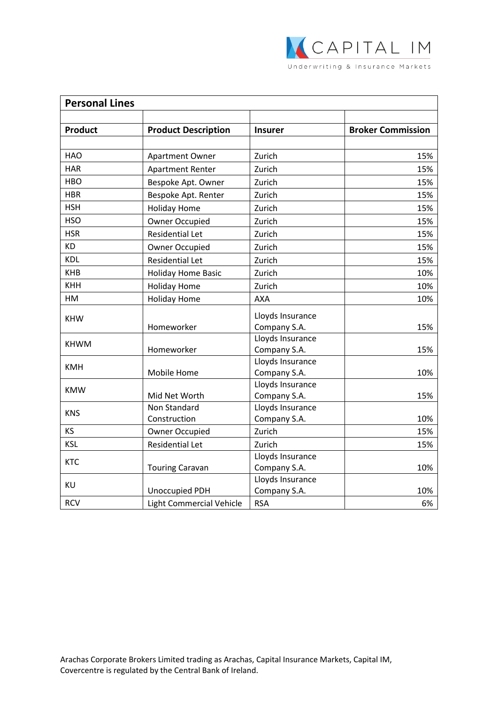

| <b>Personal Lines</b> |                              |                                  |                          |  |
|-----------------------|------------------------------|----------------------------------|--------------------------|--|
| <b>Product</b>        | <b>Product Description</b>   | <b>Insurer</b>                   | <b>Broker Commission</b> |  |
|                       |                              |                                  |                          |  |
| <b>HAO</b>            | <b>Apartment Owner</b>       | Zurich                           | 15%                      |  |
| <b>HAR</b>            | <b>Apartment Renter</b>      | Zurich                           | 15%                      |  |
| <b>HBO</b>            | Bespoke Apt. Owner           | Zurich                           | 15%                      |  |
| <b>HBR</b>            | Bespoke Apt. Renter          | Zurich                           | 15%                      |  |
| <b>HSH</b>            | <b>Holiday Home</b>          | Zurich                           | 15%                      |  |
| <b>HSO</b>            | <b>Owner Occupied</b>        | Zurich                           | 15%                      |  |
| <b>HSR</b>            | <b>Residential Let</b>       | Zurich                           | 15%                      |  |
| <b>KD</b>             | <b>Owner Occupied</b>        | Zurich                           | 15%                      |  |
| <b>KDL</b>            | <b>Residential Let</b>       | Zurich                           | 15%                      |  |
| <b>KHB</b>            | <b>Holiday Home Basic</b>    | Zurich                           | 10%                      |  |
| <b>KHH</b>            | <b>Holiday Home</b>          | Zurich                           | 10%                      |  |
| HM                    | <b>Holiday Home</b>          | <b>AXA</b>                       | 10%                      |  |
| <b>KHW</b>            | Homeworker                   | Lloyds Insurance<br>Company S.A. | 15%                      |  |
| <b>KHWM</b>           | Homeworker                   | Lloyds Insurance<br>Company S.A. | 15%                      |  |
| <b>KMH</b>            | Mobile Home                  | Lloyds Insurance<br>Company S.A. | 10%                      |  |
| <b>KMW</b>            | Mid Net Worth                | Lloyds Insurance<br>Company S.A. | 15%                      |  |
| <b>KNS</b>            | Non Standard<br>Construction | Lloyds Insurance<br>Company S.A. | 10%                      |  |
| KS                    | Owner Occupied               | Zurich                           | 15%                      |  |
| <b>KSL</b>            | <b>Residential Let</b>       | Zurich                           | 15%                      |  |
| <b>KTC</b>            | <b>Touring Caravan</b>       | Lloyds Insurance<br>Company S.A. | 10%                      |  |
| KU                    | <b>Unoccupied PDH</b>        | Lloyds Insurance<br>Company S.A. | 10%                      |  |
| <b>RCV</b>            | Light Commercial Vehicle     | <b>RSA</b>                       | 6%                       |  |